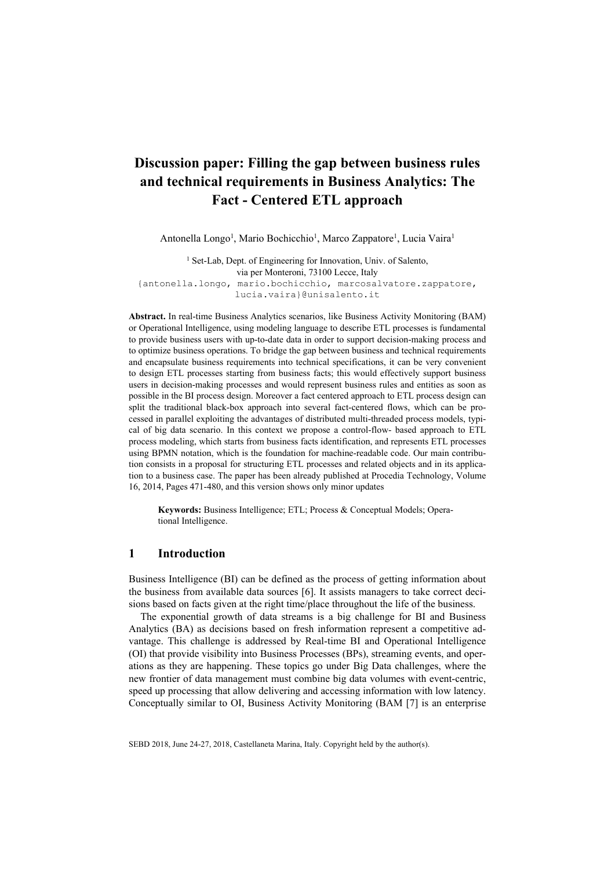# **Discussion paper: Filling the gap between business rules and technical requirements in Business Analytics: The Fact - Centered ETL approach**

Antonella Longo<sup>1</sup>, Mario Bochicchio<sup>1</sup>, Marco Zappatore<sup>1</sup>, Lucia Vaira<sup>1</sup>

<sup>1</sup> Set-Lab, Dept. of Engineering for Innovation, Univ. of Salento, via per Monteroni, 73100 Lecce, Italy {antonella.longo, mario.bochicchio, marcosalvatore.zappatore, lucia.vaira}@unisalento.it

**Abstract.** In real-time Business Analytics scenarios, like Business Activity Monitoring (BAM) or Operational Intelligence, using modeling language to describe ETL processes is fundamental to provide business users with up-to-date data in order to support decision-making process and to optimize business operations. To bridge the gap between business and technical requirements and encapsulate business requirements into technical specifications, it can be very convenient to design ETL processes starting from business facts; this would effectively support business users in decision-making processes and would represent business rules and entities as soon as possible in the BI process design. Moreover a fact centered approach to ETL process design can split the traditional black-box approach into several fact-centered flows, which can be processed in parallel exploiting the advantages of distributed multi-threaded process models, typical of big data scenario. In this context we propose a control-flow- based approach to ETL process modeling, which starts from business facts identification, and represents ETL processes using BPMN notation, which is the foundation for machine-readable code. Our main contribution consists in a proposal for structuring ETL processes and related objects and in its application to a business case. The paper has been already published at Procedia Technology, Volume 16, 2014, Pages 471-480, and this version shows only minor updates

**Keywords:** Business Intelligence; ETL; Process & Conceptual Models; Operational Intelligence.

#### **1 Introduction**

Business Intelligence (BI) can be defined as the process of getting information about the business from available data sources [6]. It assists managers to take correct decisions based on facts given at the right time/place throughout the life of the business.

The exponential growth of data streams is a big challenge for BI and Business Analytics (BA) as decisions based on fresh information represent a competitive advantage. This challenge is addressed by Real-time BI and Operational Intelligence (OI) that provide visibility into Business Processes (BPs), streaming events, and operations as they are happening. These topics go under Big Data challenges, where the new frontier of data management must combine big data volumes with event-centric, speed up processing that allow delivering and accessing information with low latency. Conceptually similar to OI, Business Activity Monitoring (BAM [7] is an enterprise

SEBD 2018, June 24-27, 2018, Castellaneta Marina, Italy. Copyright held by the author(s).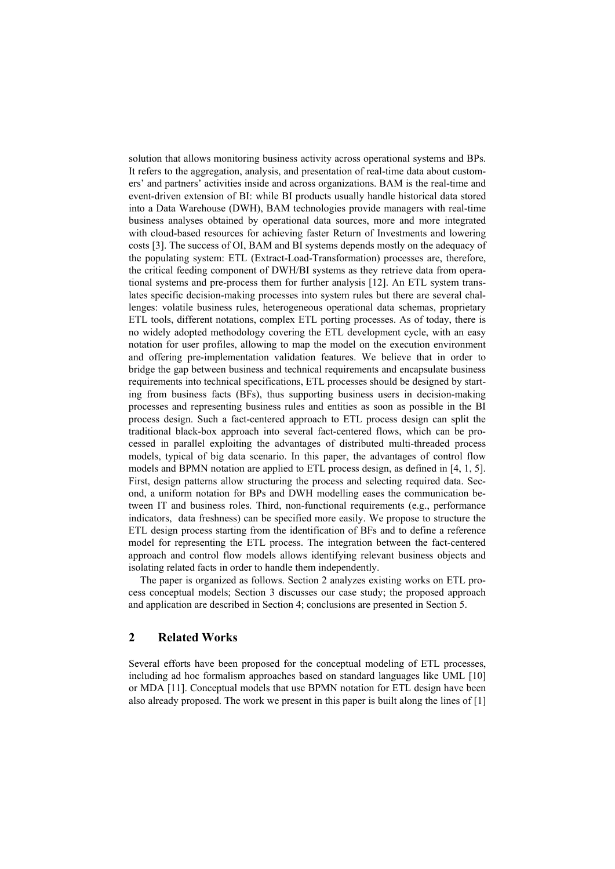solution that allows monitoring business activity across operational systems and BPs. It refers to the aggregation, analysis, and presentation of real-time data about customers' and partners' activities inside and across organizations. BAM is the real-time and event-driven extension of BI: while BI products usually handle historical data stored into a Data Warehouse (DWH), BAM technologies provide managers with real-time business analyses obtained by operational data sources, more and more integrated with cloud-based resources for achieving faster Return of Investments and lowering costs [3]. The success of OI, BAM and BI systems depends mostly on the adequacy of the populating system: ETL (Extract-Load-Transformation) processes are, therefore, the critical feeding component of DWH/BI systems as they retrieve data from operational systems and pre-process them for further analysis [12]. An ETL system translates specific decision-making processes into system rules but there are several challenges: volatile business rules, heterogeneous operational data schemas, proprietary ETL tools, different notations, complex ETL porting processes. As of today, there is no widely adopted methodology covering the ETL development cycle, with an easy notation for user profiles, allowing to map the model on the execution environment and offering pre-implementation validation features. We believe that in order to bridge the gap between business and technical requirements and encapsulate business requirements into technical specifications, ETL processes should be designed by starting from business facts (BFs), thus supporting business users in decision-making processes and representing business rules and entities as soon as possible in the BI process design. Such a fact-centered approach to ETL process design can split the traditional black-box approach into several fact-centered flows, which can be processed in parallel exploiting the advantages of distributed multi-threaded process models, typical of big data scenario. In this paper, the advantages of control flow models and BPMN notation are applied to ETL process design, as defined in [4, 1, 5]. First, design patterns allow structuring the process and selecting required data. Second, a uniform notation for BPs and DWH modelling eases the communication between IT and business roles. Third, non-functional requirements (e.g., performance indicators, data freshness) can be specified more easily. We propose to structure the ETL design process starting from the identification of BFs and to define a reference model for representing the ETL process. The integration between the fact-centered approach and control flow models allows identifying relevant business objects and isolating related facts in order to handle them independently.

The paper is organized as follows. Section 2 analyzes existing works on ETL process conceptual models; Section 3 discusses our case study; the proposed approach and application are described in Section 4; conclusions are presented in Section 5.

## **2 Related Works**

Several efforts have been proposed for the conceptual modeling of ETL processes, including ad hoc formalism approaches based on standard languages like UML [10] or MDA [11]. Conceptual models that use BPMN notation for ETL design have been also already proposed. The work we present in this paper is built along the lines of [1]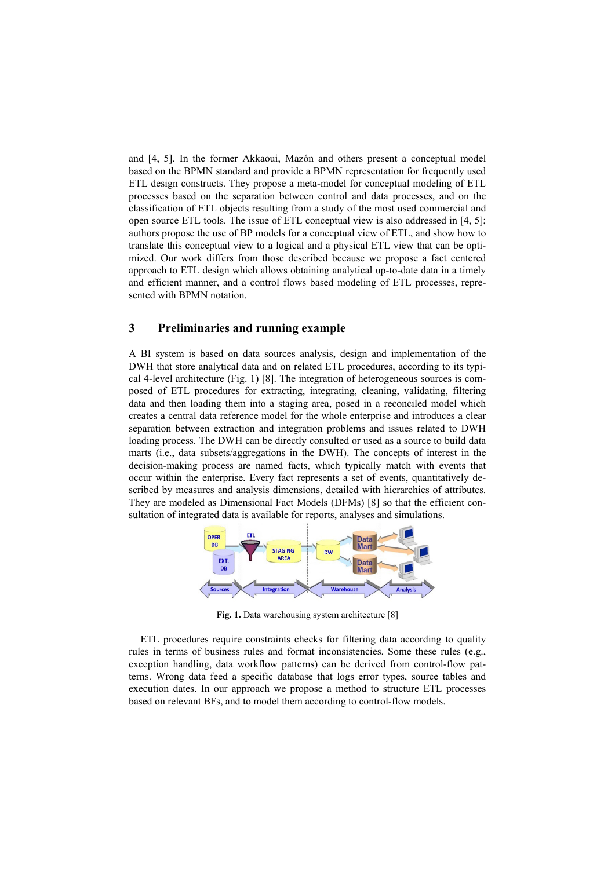and [4, 5]. In the former Akkaoui, Mazón and others present a conceptual model based on the BPMN standard and provide a BPMN representation for frequently used ETL design constructs. They propose a meta-model for conceptual modeling of ETL processes based on the separation between control and data processes, and on the classification of ETL objects resulting from a study of the most used commercial and open source ETL tools. The issue of ETL conceptual view is also addressed in [4, 5]; authors propose the use of BP models for a conceptual view of ETL, and show how to translate this conceptual view to a logical and a physical ETL view that can be optimized. Our work differs from those described because we propose a fact centered approach to ETL design which allows obtaining analytical up-to-date data in a timely and efficient manner, and a control flows based modeling of ETL processes, represented with BPMN notation.

### **3 Preliminaries and running example**

A BI system is based on data sources analysis, design and implementation of the DWH that store analytical data and on related ETL procedures, according to its typical 4-level architecture (Fig. 1) [8]. The integration of heterogeneous sources is composed of ETL procedures for extracting, integrating, cleaning, validating, filtering data and then loading them into a staging area, posed in a reconciled model which creates a central data reference model for the whole enterprise and introduces a clear separation between extraction and integration problems and issues related to DWH loading process. The DWH can be directly consulted or used as a source to build data marts (i.e., data subsets/aggregations in the DWH). The concepts of interest in the decision-making process are named facts, which typically match with events that occur within the enterprise. Every fact represents a set of events, quantitatively described by measures and analysis dimensions, detailed with hierarchies of attributes. They are modeled as Dimensional Fact Models (DFMs) [8] so that the efficient consultation of integrated data is available for reports, analyses and simulations.



**Fig. 1.** Data warehousing system architecture [8]

ETL procedures require constraints checks for filtering data according to quality rules in terms of business rules and format inconsistencies. Some these rules (e.g., exception handling, data workflow patterns) can be derived from control-flow patterns. Wrong data feed a specific database that logs error types, source tables and execution dates. In our approach we propose a method to structure ETL processes based on relevant BFs, and to model them according to control-flow models.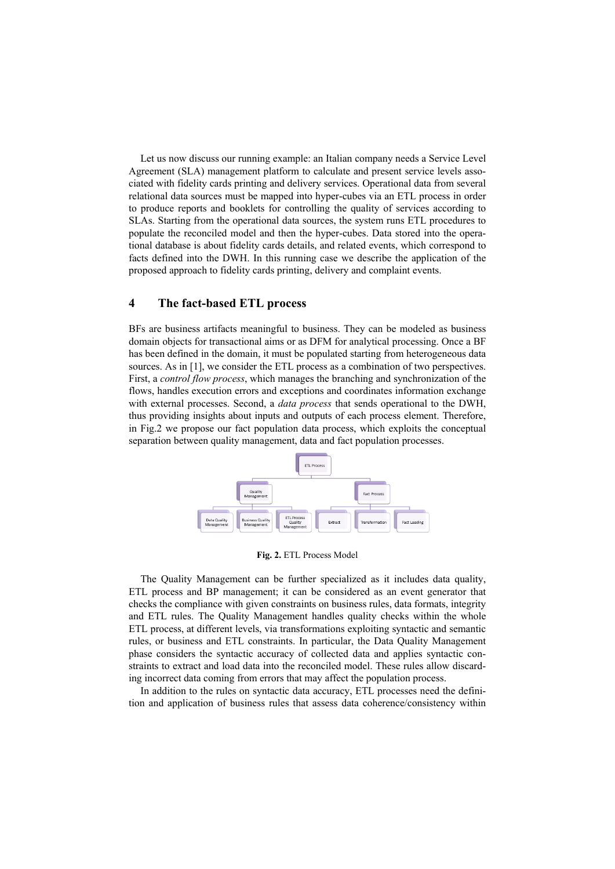Let us now discuss our running example: an Italian company needs a Service Level Agreement (SLA) management platform to calculate and present service levels associated with fidelity cards printing and delivery services. Operational data from several relational data sources must be mapped into hyper-cubes via an ETL process in order to produce reports and booklets for controlling the quality of services according to SLAs. Starting from the operational data sources, the system runs ETL procedures to populate the reconciled model and then the hyper-cubes. Data stored into the operational database is about fidelity cards details, and related events, which correspond to facts defined into the DWH. In this running case we describe the application of the proposed approach to fidelity cards printing, delivery and complaint events.

## **4 The fact-based ETL process**

BFs are business artifacts meaningful to business. They can be modeled as business domain objects for transactional aims or as DFM for analytical processing. Once a BF has been defined in the domain, it must be populated starting from heterogeneous data sources. As in [1], we consider the ETL process as a combination of two perspectives. First, a *control flow process*, which manages the branching and synchronization of the flows, handles execution errors and exceptions and coordinates information exchange with external processes. Second, a *data process* that sends operational to the DWH, thus providing insights about inputs and outputs of each process element. Therefore, in Fig.2 we propose our fact population data process, which exploits the conceptual separation between quality management, data and fact population processes.



**Fig. 2.** ETL Process Model

The Quality Management can be further specialized as it includes data quality, ETL process and BP management; it can be considered as an event generator that checks the compliance with given constraints on business rules, data formats, integrity and ETL rules. The Quality Management handles quality checks within the whole ETL process, at different levels, via transformations exploiting syntactic and semantic rules, or business and ETL constraints. In particular, the Data Quality Management phase considers the syntactic accuracy of collected data and applies syntactic constraints to extract and load data into the reconciled model. These rules allow discarding incorrect data coming from errors that may affect the population process.

In addition to the rules on syntactic data accuracy, ETL processes need the definition and application of business rules that assess data coherence/consistency within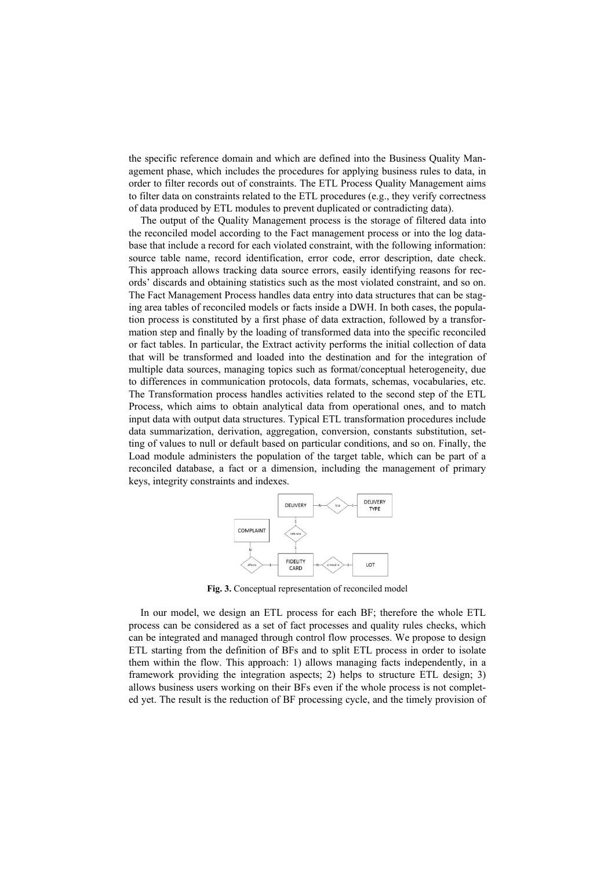the specific reference domain and which are defined into the Business Quality Management phase, which includes the procedures for applying business rules to data, in order to filter records out of constraints. The ETL Process Quality Management aims to filter data on constraints related to the ETL procedures (e.g., they verify correctness of data produced by ETL modules to prevent duplicated or contradicting data).

The output of the Quality Management process is the storage of filtered data into the reconciled model according to the Fact management process or into the log database that include a record for each violated constraint, with the following information: source table name, record identification, error code, error description, date check. This approach allows tracking data source errors, easily identifying reasons for records' discards and obtaining statistics such as the most violated constraint, and so on. The Fact Management Process handles data entry into data structures that can be staging area tables of reconciled models or facts inside a DWH. In both cases, the population process is constituted by a first phase of data extraction, followed by a transformation step and finally by the loading of transformed data into the specific reconciled or fact tables. In particular, the Extract activity performs the initial collection of data that will be transformed and loaded into the destination and for the integration of multiple data sources, managing topics such as format/conceptual heterogeneity, due to differences in communication protocols, data formats, schemas, vocabularies, etc. The Transformation process handles activities related to the second step of the ETL Process, which aims to obtain analytical data from operational ones, and to match input data with output data structures. Typical ETL transformation procedures include data summarization, derivation, aggregation, conversion, constants substitution, setting of values to null or default based on particular conditions, and so on. Finally, the Load module administers the population of the target table, which can be part of a reconciled database, a fact or a dimension, including the management of primary keys, integrity constraints and indexes.



**Fig. 3.** Conceptual representation of reconciled model

In our model, we design an ETL process for each BF; therefore the whole ETL process can be considered as a set of fact processes and quality rules checks, which can be integrated and managed through control flow processes. We propose to design ETL starting from the definition of BFs and to split ETL process in order to isolate them within the flow. This approach: 1) allows managing facts independently, in a framework providing the integration aspects; 2) helps to structure ETL design; 3) allows business users working on their BFs even if the whole process is not completed yet. The result is the reduction of BF processing cycle, and the timely provision of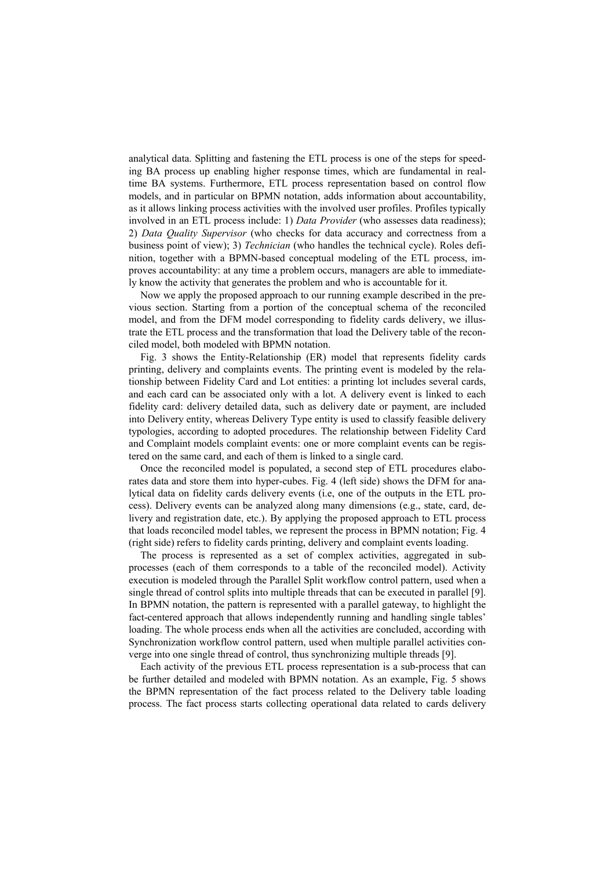analytical data. Splitting and fastening the ETL process is one of the steps for speeding BA process up enabling higher response times, which are fundamental in realtime BA systems. Furthermore, ETL process representation based on control flow models, and in particular on BPMN notation, adds information about accountability, as it allows linking process activities with the involved user profiles. Profiles typically involved in an ETL process include: 1) *Data Provider* (who assesses data readiness); 2) *Data Quality Supervisor* (who checks for data accuracy and correctness from a business point of view); 3) *Technician* (who handles the technical cycle). Roles definition, together with a BPMN-based conceptual modeling of the ETL process, improves accountability: at any time a problem occurs, managers are able to immediately know the activity that generates the problem and who is accountable for it.

Now we apply the proposed approach to our running example described in the previous section. Starting from a portion of the conceptual schema of the reconciled model, and from the DFM model corresponding to fidelity cards delivery, we illustrate the ETL process and the transformation that load the Delivery table of the reconciled model, both modeled with BPMN notation.

Fig. 3 shows the Entity-Relationship (ER) model that represents fidelity cards printing, delivery and complaints events. The printing event is modeled by the relationship between Fidelity Card and Lot entities: a printing lot includes several cards, and each card can be associated only with a lot. A delivery event is linked to each fidelity card: delivery detailed data, such as delivery date or payment, are included into Delivery entity, whereas Delivery Type entity is used to classify feasible delivery typologies, according to adopted procedures. The relationship between Fidelity Card and Complaint models complaint events: one or more complaint events can be registered on the same card, and each of them is linked to a single card.

Once the reconciled model is populated, a second step of ETL procedures elaborates data and store them into hyper-cubes. Fig. 4 (left side) shows the DFM for analytical data on fidelity cards delivery events (i.e, one of the outputs in the ETL process). Delivery events can be analyzed along many dimensions (e.g., state, card, delivery and registration date, etc.). By applying the proposed approach to ETL process that loads reconciled model tables, we represent the process in BPMN notation; Fig. 4 (right side) refers to fidelity cards printing, delivery and complaint events loading.

The process is represented as a set of complex activities, aggregated in subprocesses (each of them corresponds to a table of the reconciled model). Activity execution is modeled through the Parallel Split workflow control pattern, used when a single thread of control splits into multiple threads that can be executed in parallel [9]. In BPMN notation, the pattern is represented with a parallel gateway, to highlight the fact-centered approach that allows independently running and handling single tables' loading. The whole process ends when all the activities are concluded, according with Synchronization workflow control pattern, used when multiple parallel activities converge into one single thread of control, thus synchronizing multiple threads [9].

Each activity of the previous ETL process representation is a sub-process that can be further detailed and modeled with BPMN notation. As an example, Fig. 5 shows the BPMN representation of the fact process related to the Delivery table loading process. The fact process starts collecting operational data related to cards delivery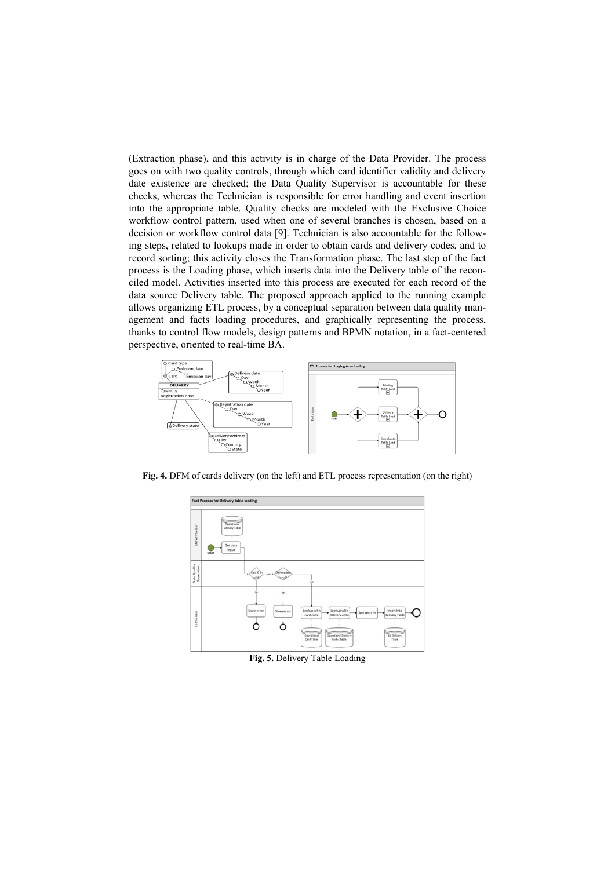(Extraction phase), and this activity is in charge of the Data Provider. The process goes on with two quality controls, through which card identifier validity and delivery date existence are checked; the Data Quality Supervisor is accountable for these checks, whereas the Technician is responsible for error handling and event insertion into the appropriate table. Quality checks are modeled with the Exclusive Choice workflow control pattern, used when one of several branches is chosen, based on a decision or workflow control data [9]. Technician is also accountable for the following steps, related to lookups made in order to obtain cards and delivery codes, and to record sorting; this activity closes the Transformation phase. The last step of the fact process is the Loading phase, which inserts data into the Delivery table of the reconciled model. Activities inserted into this process are executed for each record of the data source Delivery table. The proposed approach applied to the running example allows organizing ETL process, by a conceptual separation between data quality management and facts loading procedures, and graphically representing the process, thanks to control flow models, design patterns and BPMN notation, in a fact-centered perspective, oriented to real-time BA.



**Fig. 4.** DFM of cards delivery (on the left) and ETL process representation (on the right)



**Fig. 5.** Delivery Table Loading